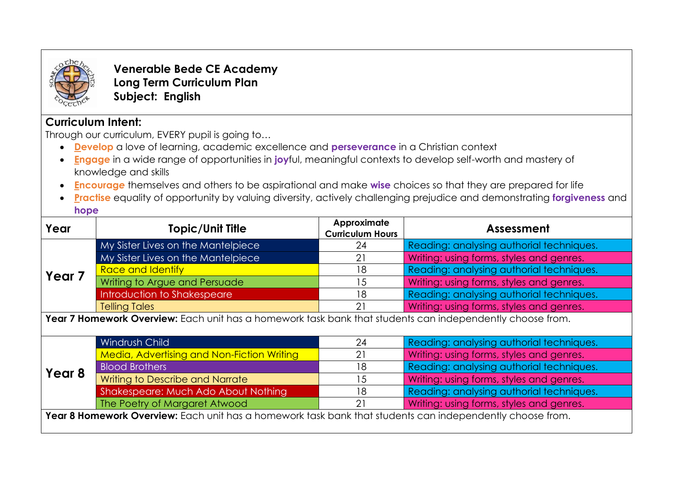

**Venerable Bede CE Academy Long Term Curriculum Plan Subject: English**

## **Curriculum Intent:**

Through our curriculum, EVERY pupil is going to…

- **Develop** a love of learning, academic excellence and **perseverance** in a Christian context
- **Engage** in a wide range of opportunities in **joy**ful, meaningful contexts to develop self-worth and mastery of knowledge and skills
- **Encourag***e* themselves and others to be aspirational and make **wise** choices so that they are prepared for life
- **Practise** equality of opportunity by valuing diversity, actively challenging prejudice and demonstrating **forgiveness** and **hope**

| Year                                                                                                      | <b>Topic/Unit Title</b>                    | Approximate<br><b>Curriculum Hours</b> | Assessment                               |  |  |  |  |  |
|-----------------------------------------------------------------------------------------------------------|--------------------------------------------|----------------------------------------|------------------------------------------|--|--|--|--|--|
| Year <sub>7</sub>                                                                                         | My Sister Lives on the Mantelpiece         | 24                                     | Reading: analysing authorial techniques. |  |  |  |  |  |
|                                                                                                           | My Sister Lives on the Mantelpiece         | 21                                     | Writing: using forms, styles and genres. |  |  |  |  |  |
|                                                                                                           | <b>Race and Identify</b>                   | 18                                     | Reading: analysing authorial techniques. |  |  |  |  |  |
|                                                                                                           | Writing to Argue and Persuade              | 15                                     | Writing: using forms, styles and genres. |  |  |  |  |  |
|                                                                                                           | Introduction to Shakespeare                | 18                                     | Reading: analysing authorial techniques. |  |  |  |  |  |
|                                                                                                           | <b>Telling Tales</b>                       | 21                                     | Writing: using forms, styles and genres. |  |  |  |  |  |
| Year 7 Homework Overview: Each unit has a homework task bank that students can independently choose from. |                                            |                                        |                                          |  |  |  |  |  |
| Year <sub>8</sub>                                                                                         | <b>Windrush Child</b>                      | 24                                     | Reading: analysing authorial techniques. |  |  |  |  |  |
|                                                                                                           | Media, Advertising and Non-Fiction Writing | 21                                     | Writing: using forms, styles and genres. |  |  |  |  |  |
|                                                                                                           | <b>Blood Brothers</b>                      | 18                                     | Reading: analysing authorial techniques. |  |  |  |  |  |
|                                                                                                           | Writing to Describe and Narrate            | 15                                     | Writing: using forms, styles and genres. |  |  |  |  |  |
|                                                                                                           | Shakespeare: Much Ado About Nothing        | 18                                     | Reading: analysing authorial techniques. |  |  |  |  |  |
|                                                                                                           | The Poetry of Margaret Atwood              | 21                                     | Writing: using forms, styles and genres. |  |  |  |  |  |
| Year 8 Homework Overview: Each unit has a homework task bank that students can independently choose from. |                                            |                                        |                                          |  |  |  |  |  |